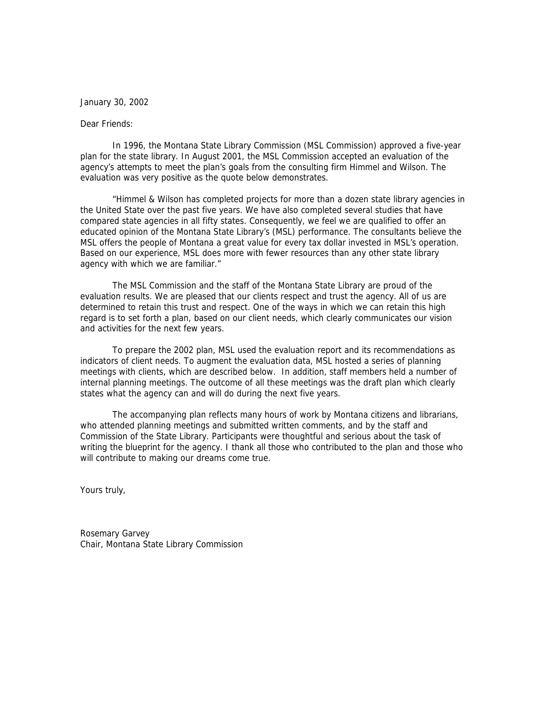#### January 30, 2002

#### Dear Friends:

In 1996, the Montana State Library Commission (MSL Commission) approved a five-year plan for the state library. In August 2001, the MSL Commission accepted an evaluation of the agency's attempts to meet the plan's goals from the consulting firm Himmel and Wilson. The evaluation was very positive as the quote below demonstrates.

 "Himmel & Wilson has completed projects for more than a dozen state library agencies in the United State over the past five years. We have also completed several studies that have compared state agencies in all fifty states. Consequently, we feel we are qualified to offer an educated opinion of the Montana State Library's (MSL) performance. The consultants believe the MSL offers the people of Montana a great value for every tax dollar invested in MSL's operation. Based on our experience, MSL does more with fewer resources than any other state library agency with which we are familiar."

The MSL Commission and the staff of the Montana State Library are proud of the evaluation results. We are pleased that our clients respect and trust the agency. All of us are determined to retain this trust and respect. One of the ways in which we can retain this high regard is to set forth a plan, based on our client needs, which clearly communicates our vision and activities for the next few years.

To prepare the 2002 plan, MSL used the evaluation report and its recommendations as indicators of client needs. To augment the evaluation data, MSL hosted a series of planning meetings with clients, which are described below. In addition, staff members held a number of internal planning meetings. The outcome of all these meetings was the draft plan which clearly states what the agency can and will do during the next five years.

The accompanying plan reflects many hours of work by Montana citizens and librarians, who attended planning meetings and submitted written comments, and by the staff and Commission of the State Library. Participants were thoughtful and serious about the task of writing the blueprint for the agency. I thank all those who contributed to the plan and those who will contribute to making our dreams come true.

Yours truly,

Rosemary Garvey Chair, Montana State Library Commission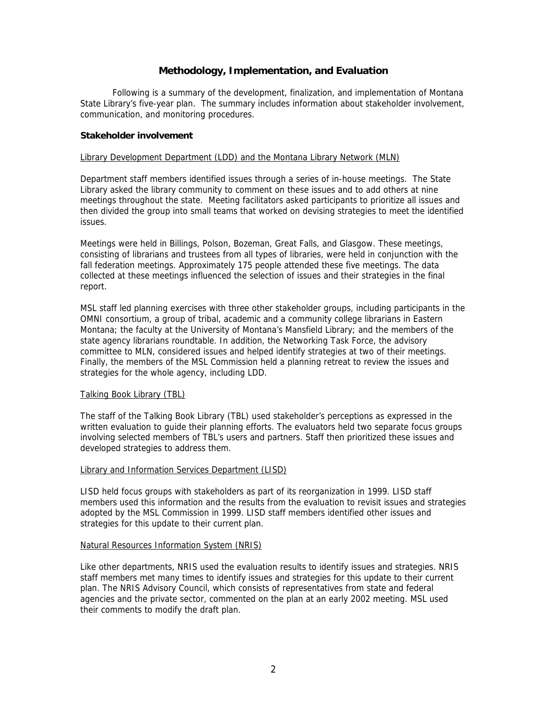# **Methodology, Implementation, and Evaluation**

Following is a summary of the development, finalization, and implementation of Montana State Library's five-year plan. The summary includes information about stakeholder involvement, communication, and monitoring procedures.

#### **Stakeholder involvement**

#### Library Development Department (LDD) and the Montana Library Network (MLN)

Department staff members identified issues through a series of in-house meetings. The State Library asked the library community to comment on these issues and to add others at nine meetings throughout the state. Meeting facilitators asked participants to prioritize all issues and then divided the group into small teams that worked on devising strategies to meet the identified issues.

Meetings were held in Billings, Polson, Bozeman, Great Falls, and Glasgow. These meetings, consisting of librarians and trustees from all types of libraries, were held in conjunction with the fall federation meetings. Approximately 175 people attended these five meetings. The data collected at these meetings influenced the selection of issues and their strategies in the final report.

MSL staff led planning exercises with three other stakeholder groups, including participants in the OMNI consortium, a group of tribal, academic and a community college librarians in Eastern Montana; the faculty at the University of Montana's Mansfield Library; and the members of the state agency librarians roundtable. In addition, the Networking Task Force, the advisory committee to MLN, considered issues and helped identify strategies at two of their meetings. Finally, the members of the MSL Commission held a planning retreat to review the issues and strategies for the whole agency, including LDD.

#### Talking Book Library (TBL)

The staff of the Talking Book Library (TBL) used stakeholder's perceptions as expressed in the written evaluation to guide their planning efforts. The evaluators held two separate focus groups involving selected members of TBL's users and partners. Staff then prioritized these issues and developed strategies to address them.

#### Library and Information Services Department (LISD)

LISD held focus groups with stakeholders as part of its reorganization in 1999. LISD staff members used this information and the results from the evaluation to revisit issues and strategies adopted by the MSL Commission in 1999. LISD staff members identified other issues and strategies for this update to their current plan.

## Natural Resources Information System (NRIS)

Like other departments, NRIS used the evaluation results to identify issues and strategies. NRIS staff members met many times to identify issues and strategies for this update to their current plan. The NRIS Advisory Council, which consists of representatives from state and federal agencies and the private sector, commented on the plan at an early 2002 meeting. MSL used their comments to modify the draft plan.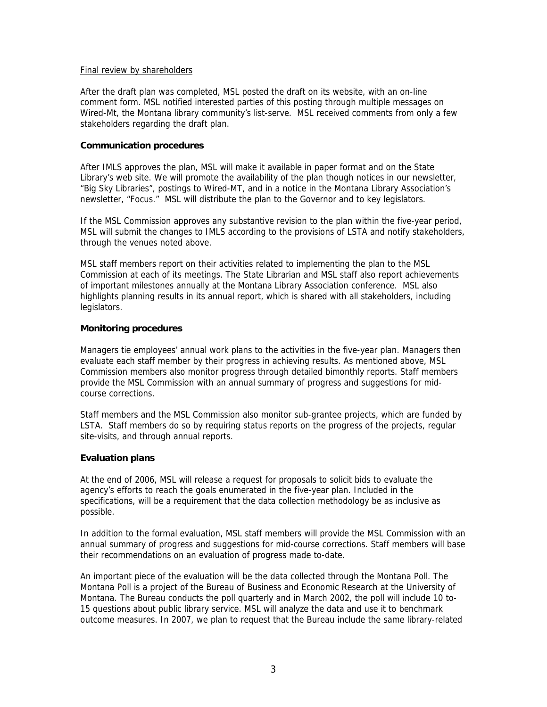#### Final review by shareholders

After the draft plan was completed, MSL posted the draft on its website, with an on-line comment form. MSL notified interested parties of this posting through multiple messages on Wired-Mt, the Montana library community's list-serve. MSL received comments from only a few stakeholders regarding the draft plan.

#### **Communication procedures**

After IMLS approves the plan, MSL will make it available in paper format and on the State Library's web site. We will promote the availability of the plan though notices in our newsletter, "Big Sky Libraries", postings to Wired-MT, and in a notice in the Montana Library Association's newsletter, "Focus." MSL will distribute the plan to the Governor and to key legislators.

If the MSL Commission approves any substantive revision to the plan within the five-year period, MSL will submit the changes to IMLS according to the provisions of LSTA and notify stakeholders, through the venues noted above.

MSL staff members report on their activities related to implementing the plan to the MSL Commission at each of its meetings. The State Librarian and MSL staff also report achievements of important milestones annually at the Montana Library Association conference. MSL also highlights planning results in its annual report, which is shared with all stakeholders, including legislators.

## **Monitoring procedures**

Managers tie employees' annual work plans to the activities in the five-year plan. Managers then evaluate each staff member by their progress in achieving results. As mentioned above, MSL Commission members also monitor progress through detailed bimonthly reports. Staff members provide the MSL Commission with an annual summary of progress and suggestions for midcourse corrections.

Staff members and the MSL Commission also monitor sub-grantee projects, which are funded by LSTA. Staff members do so by requiring status reports on the progress of the projects, regular site-visits, and through annual reports.

# **Evaluation plans**

At the end of 2006, MSL will release a request for proposals to solicit bids to evaluate the agency's efforts to reach the goals enumerated in the five-year plan. Included in the specifications, will be a requirement that the data collection methodology be as inclusive as possible.

In addition to the formal evaluation, MSL staff members will provide the MSL Commission with an annual summary of progress and suggestions for mid-course corrections. Staff members will base their recommendations on an evaluation of progress made to-date.

An important piece of the evaluation will be the data collected through the Montana Poll. The Montana Poll is a project of the Bureau of Business and Economic Research at the University of Montana. The Bureau conducts the poll quarterly and in March 2002, the poll will include 10 to-15 questions about public library service. MSL will analyze the data and use it to benchmark outcome measures. In 2007, we plan to request that the Bureau include the same library-related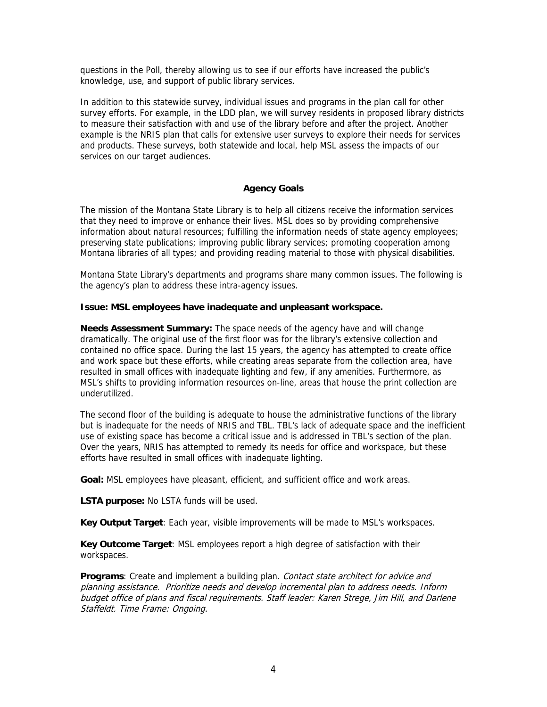questions in the Poll, thereby allowing us to see if our efforts have increased the public's knowledge, use, and support of public library services.

In addition to this statewide survey, individual issues and programs in the plan call for other survey efforts. For example, in the LDD plan, we will survey residents in proposed library districts to measure their satisfaction with and use of the library before and after the project. Another example is the NRIS plan that calls for extensive user surveys to explore their needs for services and products. These surveys, both statewide and local, help MSL assess the impacts of our services on our target audiences.

# **Agency Goals**

The mission of the Montana State Library is to help all citizens receive the information services that they need to improve or enhance their lives. MSL does so by providing comprehensive information about natural resources; fulfilling the information needs of state agency employees; preserving state publications; improving public library services; promoting cooperation among Montana libraries of all types; and providing reading material to those with physical disabilities.

Montana State Library's departments and programs share many common issues. The following is the agency's plan to address these intra-agency issues.

## **Issue: MSL employees have inadequate and unpleasant workspace.**

**Needs Assessment Summary:** The space needs of the agency have and will change dramatically. The original use of the first floor was for the library's extensive collection and contained no office space. During the last 15 years, the agency has attempted to create office and work space but these efforts, while creating areas separate from the collection area, have resulted in small offices with inadequate lighting and few, if any amenities. Furthermore, as MSL's shifts to providing information resources on-line, areas that house the print collection are underutilized.

The second floor of the building is adequate to house the administrative functions of the library but is inadequate for the needs of NRIS and TBL. TBL's lack of adequate space and the inefficient use of existing space has become a critical issue and is addressed in TBL's section of the plan. Over the years, NRIS has attempted to remedy its needs for office and workspace, but these efforts have resulted in small offices with inadequate lighting.

**Goal:** MSL employees have pleasant, efficient, and sufficient office and work areas.

**LSTA purpose:** No LSTA funds will be used.

**Key Output Target**: Each year, visible improvements will be made to MSL's workspaces.

**Key Outcome Target**: MSL employees report a high degree of satisfaction with their workspaces.

**Programs**: Create and implement a building plan. Contact state architect for advice and planning assistance. Prioritize needs and develop incremental plan to address needs. Inform budget office of plans and fiscal requirements. Staff leader: Karen Strege, Jim Hill, and Darlene Staffeldt. Time Frame: Ongoing.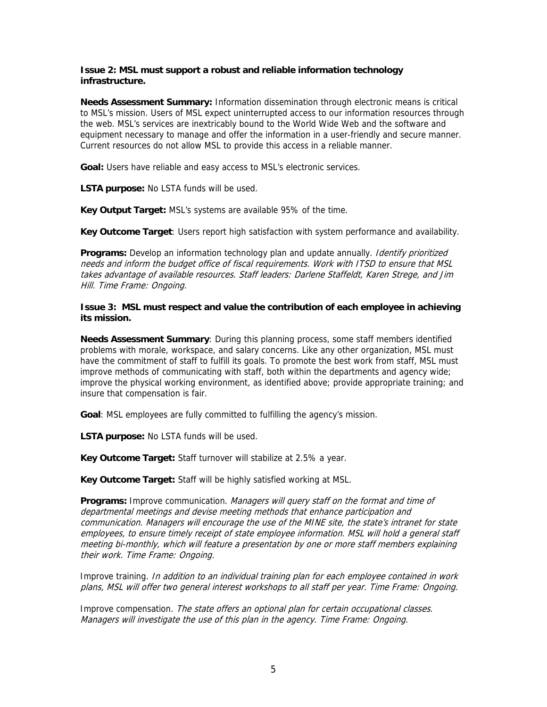## **Issue 2: MSL must support a robust and reliable information technology infrastructure.**

**Needs Assessment Summary:** Information dissemination through electronic means is critical to MSL's mission. Users of MSL expect uninterrupted access to our information resources through the web. MSL's services are inextricably bound to the World Wide Web and the software and equipment necessary to manage and offer the information in a user-friendly and secure manner. Current resources do not allow MSL to provide this access in a reliable manner.

**Goal:** Users have reliable and easy access to MSL's electronic services.

**LSTA purpose:** No LSTA funds will be used.

**Key Output Target:** MSL's systems are available 95% of the time.

**Key Outcome Target**: Users report high satisfaction with system performance and availability.

**Programs:** Develop an information technology plan and update annually. Identify prioritized needs and inform the budget office of fiscal requirements. Work with ITSD to ensure that MSL takes advantage of available resources. Staff leaders: Darlene Staffeldt, Karen Strege, and Jim Hill. Time Frame: Ongoing.

**Issue 3: MSL must respect and value the contribution of each employee in achieving its mission.**

**Needs Assessment Summary**: During this planning process, some staff members identified problems with morale, workspace, and salary concerns. Like any other organization, MSL must have the commitment of staff to fulfill its goals. To promote the best work from staff, MSL must improve methods of communicating with staff, both within the departments and agency wide; improve the physical working environment, as identified above; provide appropriate training; and insure that compensation is fair.

**Goal**: MSL employees are fully committed to fulfilling the agency's mission.

**LSTA purpose:** No LSTA funds will be used.

**Key Outcome Target:** Staff turnover will stabilize at 2.5% a year.

**Key Outcome Target:** Staff will be highly satisfied working at MSL.

**Programs:** Improve communication. Managers will query staff on the format and time of departmental meetings and devise meeting methods that enhance participation and communication. Managers will encourage the use of the MINE site, the state's intranet for state employees, to ensure timely receipt of state employee information. MSL will hold a general staff meeting bi-monthly, which will feature a presentation by one or more staff members explaining their work. Time Frame: Ongoing.

Improve training. In addition to an individual training plan for each employee contained in work plans, MSL will offer two general interest workshops to all staff per year. Time Frame: Ongoing.

Improve compensation. The state offers an optional plan for certain occupational classes. Managers will investigate the use of this plan in the agency. Time Frame: Ongoing.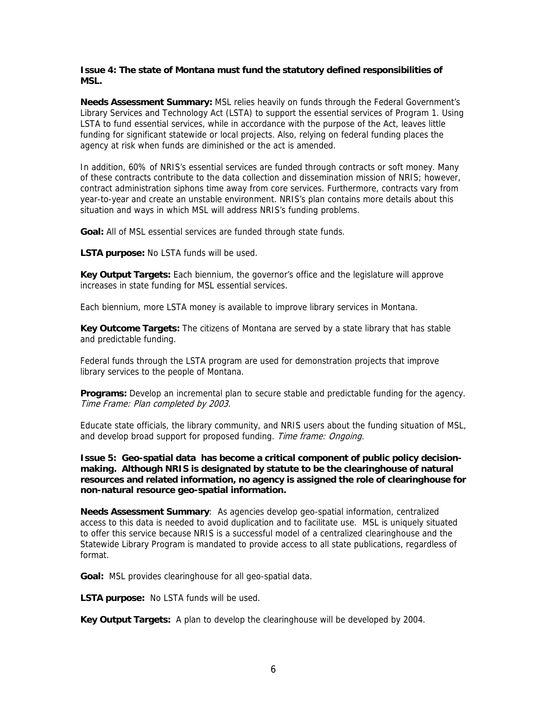## **Issue 4: The state of Montana must fund the statutory defined responsibilities of MSL.**

**Needs Assessment Summary:** MSL relies heavily on funds through the Federal Government's Library Services and Technology Act (LSTA) to support the essential services of Program 1. Using LSTA to fund essential services, while in accordance with the purpose of the Act, leaves little funding for significant statewide or local projects. Also, relying on federal funding places the agency at risk when funds are diminished or the act is amended.

In addition, 60% of NRIS's essential services are funded through contracts or soft money. Many of these contracts contribute to the data collection and dissemination mission of NRIS; however, contract administration siphons time away from core services. Furthermore, contracts vary from year-to-year and create an unstable environment. NRIS's plan contains more details about this situation and ways in which MSL will address NRIS's funding problems.

**Goal:** All of MSL essential services are funded through state funds.

**LSTA purpose:** No LSTA funds will be used.

**Key Output Targets:** Each biennium, the governor's office and the legislature will approve increases in state funding for MSL essential services.

Each biennium, more LSTA money is available to improve library services in Montana.

**Key Outcome Targets:** The citizens of Montana are served by a state library that has stable and predictable funding.

Federal funds through the LSTA program are used for demonstration projects that improve library services to the people of Montana.

**Programs:** Develop an incremental plan to secure stable and predictable funding for the agency. Time Frame: Plan completed by 2003.

Educate state officials, the library community, and NRIS users about the funding situation of MSL, and develop broad support for proposed funding. Time frame: Ongoing.

**Issue 5: Geo-spatial data has become a critical component of public policy decisionmaking. Although NRIS is designated by statute to be the clearinghouse of natural resources and related information, no agency is assigned the role of clearinghouse for non-natural resource geo-spatial information.** 

**Needs Assessment Summary**: As agencies develop geo-spatial information, centralized access to this data is needed to avoid duplication and to facilitate use. MSL is uniquely situated to offer this service because NRIS is a successful model of a centralized clearinghouse and the Statewide Library Program is mandated to provide access to all state publications, regardless of format.

**Goal:** MSL provides clearinghouse for all geo-spatial data.

**LSTA purpose:** No LSTA funds will be used.

**Key Output Targets:** A plan to develop the clearinghouse will be developed by 2004.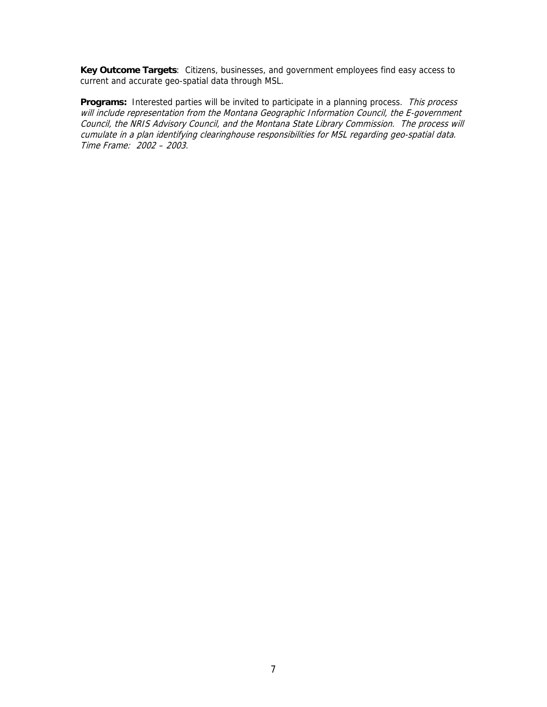**Key Outcome Targets**: Citizens, businesses, and government employees find easy access to current and accurate geo-spatial data through MSL.

Programs: Interested parties will be invited to participate in a planning process. This process will include representation from the Montana Geographic Information Council, the E-government Council, the NRIS Advisory Council, and the Montana State Library Commission. The process will cumulate in a plan identifying clearinghouse responsibilities for MSL regarding geo-spatial data. Time Frame: 2002 – 2003.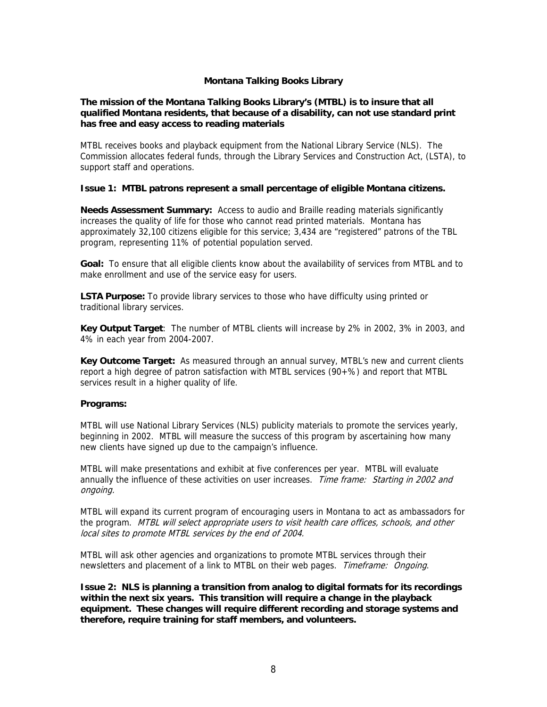## **Montana Talking Books Library**

#### **The mission of the Montana Talking Books Library's (MTBL) is to insure that all qualified Montana residents, that because of a disability, can not use standard print has free and easy access to reading materials**

MTBL receives books and playback equipment from the National Library Service (NLS). The Commission allocates federal funds, through the Library Services and Construction Act, (LSTA), to support staff and operations.

#### **Issue 1: MTBL patrons represent a small percentage of eligible Montana citizens.**

**Needs Assessment Summary:** Access to audio and Braille reading materials significantly increases the quality of life for those who cannot read printed materials. Montana has approximately 32,100 citizens eligible for this service; 3,434 are "registered" patrons of the TBL program, representing 11% of potential population served.

**Goal:** To ensure that all eligible clients know about the availability of services from MTBL and to make enrollment and use of the service easy for users.

**LSTA Purpose:** To provide library services to those who have difficulty using printed or traditional library services.

**Key Output Target**:The number of MTBL clients will increase by 2% in 2002, 3% in 2003, and 4% in each year from 2004-2007.

**Key Outcome Target:** As measured through an annual survey, MTBL's new and current clients report a high degree of patron satisfaction with MTBL services (90+%) and report that MTBL services result in a higher quality of life.

#### **Programs:**

MTBL will use National Library Services (NLS) publicity materials to promote the services yearly, beginning in 2002. MTBL will measure the success of this program by ascertaining how many new clients have signed up due to the campaign's influence.

MTBL will make presentations and exhibit at five conferences per year. MTBL will evaluate annually the influence of these activities on user increases. Time frame: Starting in 2002 and ongoing.

MTBL will expand its current program of encouraging users in Montana to act as ambassadors for the program. MTBL will select appropriate users to visit health care offices, schools, and other local sites to promote MTBL services by the end of 2004.

MTBL will ask other agencies and organizations to promote MTBL services through their newsletters and placement of a link to MTBL on their web pages. Timeframe: Ongoing.

**Issue 2: NLS is planning a transition from analog to digital formats for its recordings within the next six years. This transition will require a change in the playback equipment. These changes will require different recording and storage systems and therefore, require training for staff members, and volunteers.**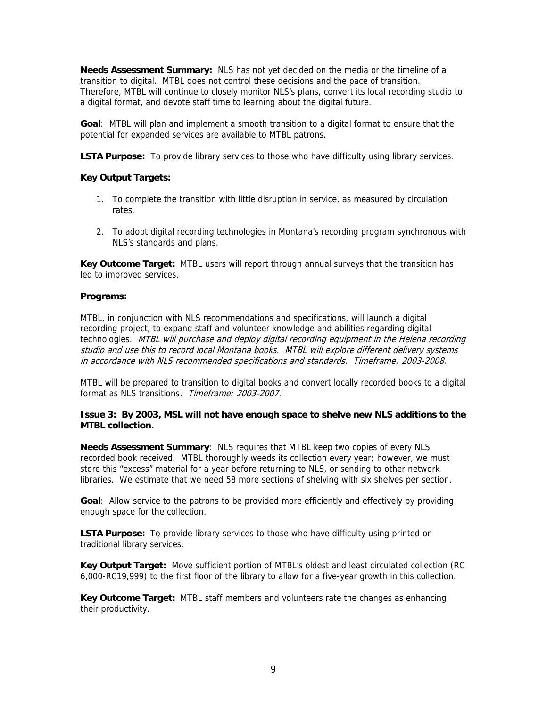**Needs Assessment Summary:** NLS has not yet decided on the media or the timeline of a transition to digital. MTBL does not control these decisions and the pace of transition. Therefore, MTBL will continue to closely monitor NLS's plans, convert its local recording studio to a digital format, and devote staff time to learning about the digital future.

**Goal**: MTBL will plan and implement a smooth transition to a digital format to ensure that the potential for expanded services are available to MTBL patrons.

**LSTA Purpose:** To provide library services to those who have difficulty using library services.

## **Key Output Targets:**

- 1. To complete the transition with little disruption in service, as measured by circulation rates.
- 2. To adopt digital recording technologies in Montana's recording program synchronous with NLS's standards and plans.

**Key Outcome Target:** MTBL users will report through annual surveys that the transition has led to improved services.

#### **Programs:**

MTBL, in conjunction with NLS recommendations and specifications, will launch a digital recording project, to expand staff and volunteer knowledge and abilities regarding digital technologies. MTBL will purchase and deploy digital recording equipment in the Helena recording studio and use this to record local Montana books. MTBL will explore different delivery systems in accordance with NLS recommended specifications and standards. Timeframe: 2003-2008.

MTBL will be prepared to transition to digital books and convert locally recorded books to a digital format as NLS transitions. Timeframe: 2003-2007.

## **Issue 3: By 2003, MSL will not have enough space to shelve new NLS additions to the MTBL collection.**

**Needs Assessment Summary**: NLS requires that MTBL keep two copies of every NLS recorded book received. MTBL thoroughly weeds its collection every year; however, we must store this "excess" material for a year before returning to NLS, or sending to other network libraries. We estimate that we need 58 more sections of shelving with six shelves per section.

**Goal**: Allow service to the patrons to be provided more efficiently and effectively by providing enough space for the collection.

**LSTA Purpose:** To provide library services to those who have difficulty using printed or traditional library services.

**Key Output Target:** Move sufficient portion of MTBL's oldest and least circulated collection (RC 6,000-RC19,999) to the first floor of the library to allow for a five-year growth in this collection.

**Key Outcome Target:** MTBL staff members and volunteers rate the changes as enhancing their productivity.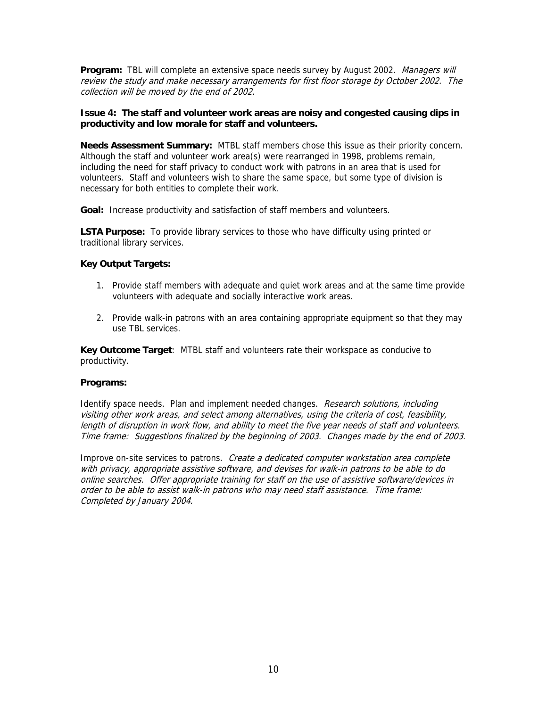**Program:** TBL will complete an extensive space needs survey by August 2002. Managers will review the study and make necessary arrangements for first floor storage by October 2002. The collection will be moved by the end of 2002.

## **Issue 4: The staff and volunteer work areas are noisy and congested causing dips in productivity and low morale for staff and volunteers.**

**Needs Assessment Summary:** MTBL staff members chose this issue as their priority concern. Although the staff and volunteer work area(s) were rearranged in 1998, problems remain, including the need for staff privacy to conduct work with patrons in an area that is used for volunteers. Staff and volunteers wish to share the same space, but some type of division is necessary for both entities to complete their work.

**Goal:** Increase productivity and satisfaction of staff members and volunteers.

**LSTA Purpose:** To provide library services to those who have difficulty using printed or traditional library services.

# **Key Output Targets:**

- 1. Provide staff members with adequate and quiet work areas and at the same time provide volunteers with adequate and socially interactive work areas.
- 2. Provide walk-in patrons with an area containing appropriate equipment so that they may use TBL services.

**Key Outcome Target**: MTBL staff and volunteers rate their workspace as conducive to productivity.

#### **Programs:**

Identify space needs. Plan and implement needed changes. Research solutions, including visiting other work areas, and select among alternatives, using the criteria of cost, feasibility, length of disruption in work flow, and ability to meet the five year needs of staff and volunteers. Time frame: Suggestions finalized by the beginning of 2003. Changes made by the end of 2003.

Improve on-site services to patrons. Create a dedicated computer workstation area complete with privacy, appropriate assistive software, and devises for walk-in patrons to be able to do online searches. Offer appropriate training for staff on the use of assistive software/devices in order to be able to assist walk-in patrons who may need staff assistance. Time frame: Completed by January 2004.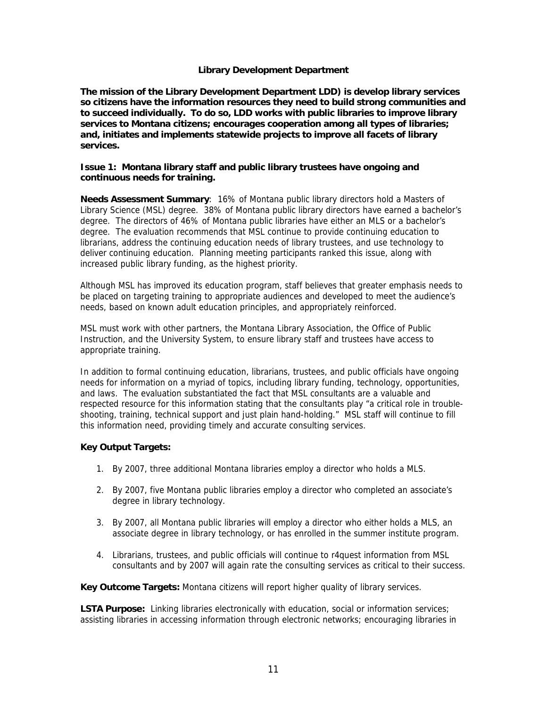## **Library Development Department**

**The mission of the Library Development Department LDD) is develop library services so citizens have the information resources they need to build strong communities and to succeed individually. To do so, LDD works with public libraries to improve library services to Montana citizens; encourages cooperation among all types of libraries; and, initiates and implements statewide projects to improve all facets of library services.** 

## **Issue 1: Montana library staff and public library trustees have ongoing and continuous needs for training.**

**Needs Assessment Summary**: 16% of Montana public library directors hold a Masters of Library Science (MSL) degree. 38% of Montana public library directors have earned a bachelor's degree. The directors of 46% of Montana public libraries have either an MLS or a bachelor's degree. The evaluation recommends that MSL continue to provide continuing education to librarians, address the continuing education needs of library trustees, and use technology to deliver continuing education. Planning meeting participants ranked this issue, along with increased public library funding, as the highest priority.

Although MSL has improved its education program, staff believes that greater emphasis needs to be placed on targeting training to appropriate audiences and developed to meet the audience's needs, based on known adult education principles, and appropriately reinforced.

MSL must work with other partners, the Montana Library Association, the Office of Public Instruction, and the University System, to ensure library staff and trustees have access to appropriate training.

In addition to formal continuing education, librarians, trustees, and public officials have ongoing needs for information on a myriad of topics, including library funding, technology, opportunities, and laws. The evaluation substantiated the fact that MSL consultants are a valuable and respected resource for this information stating that the consultants play "a critical role in troubleshooting, training, technical support and just plain hand-holding." MSL staff will continue to fill this information need, providing timely and accurate consulting services.

# **Key Output Targets:**

- 1. By 2007, three additional Montana libraries employ a director who holds a MLS.
- 2. By 2007, five Montana public libraries employ a director who completed an associate's degree in library technology.
- 3. By 2007, all Montana public libraries will employ a director who either holds a MLS, an associate degree in library technology, or has enrolled in the summer institute program.
- 4. Librarians, trustees, and public officials will continue to r4quest information from MSL consultants and by 2007 will again rate the consulting services as critical to their success.

**Key Outcome Targets:** Montana citizens will report higher quality of library services.

**LSTA Purpose:** Linking libraries electronically with education, social or information services; assisting libraries in accessing information through electronic networks; encouraging libraries in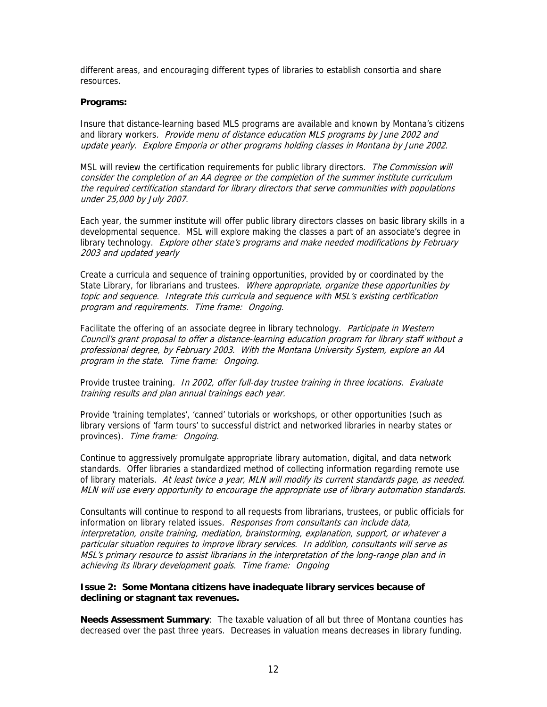different areas, and encouraging different types of libraries to establish consortia and share resources.

#### **Programs:**

Insure that distance-learning based MLS programs are available and known by Montana's citizens and library workers. Provide menu of distance education MLS programs by June 2002 and update yearly. Explore Emporia or other programs holding classes in Montana by June 2002.

MSL will review the certification requirements for public library directors. The Commission will consider the completion of an AA degree or the completion of the summer institute curriculum the required certification standard for library directors that serve communities with populations under 25,000 by July 2007.

Each year, the summer institute will offer public library directors classes on basic library skills in a developmental sequence. MSL will explore making the classes a part of an associate's degree in library technology. Explore other state's programs and make needed modifications by February 2003 and updated yearly

Create a curricula and sequence of training opportunities, provided by or coordinated by the State Library, for librarians and trustees. Where appropriate, organize these opportunities by topic and sequence. Integrate this curricula and sequence with MSL's existing certification program and requirements. Time frame: Ongoing.

Facilitate the offering of an associate degree in library technology. Participate in Western Council's grant proposal to offer a distance-learning education program for library staff without a professional degree, by February 2003. With the Montana University System, explore an AA program in the state. Time frame: Ongoing.

Provide trustee training. In 2002, offer full-day trustee training in three locations. Evaluate training results and plan annual trainings each year.

Provide 'training templates', 'canned' tutorials or workshops, or other opportunities (such as library versions of 'farm tours' to successful district and networked libraries in nearby states or provinces). Time frame: Ongoing.

Continue to aggressively promulgate appropriate library automation, digital, and data network standards. Offer libraries a standardized method of collecting information regarding remote use of library materials. At least twice a year, MLN will modify its current standards page, as needed. MLN will use every opportunity to encourage the appropriate use of library automation standards.

Consultants will continue to respond to all requests from librarians, trustees, or public officials for information on library related issues. Responses from consultants can include data, interpretation, onsite training, mediation, brainstorming, explanation, support, or whatever a particular situation requires to improve library services. In addition, consultants will serve as MSL's primary resource to assist librarians in the interpretation of the long-range plan and in achieving its library development goals. Time frame: Ongoing

## **Issue 2: Some Montana citizens have inadequate library services because of declining or stagnant tax revenues.**

**Needs Assessment Summary**: The taxable valuation of all but three of Montana counties has decreased over the past three years. Decreases in valuation means decreases in library funding.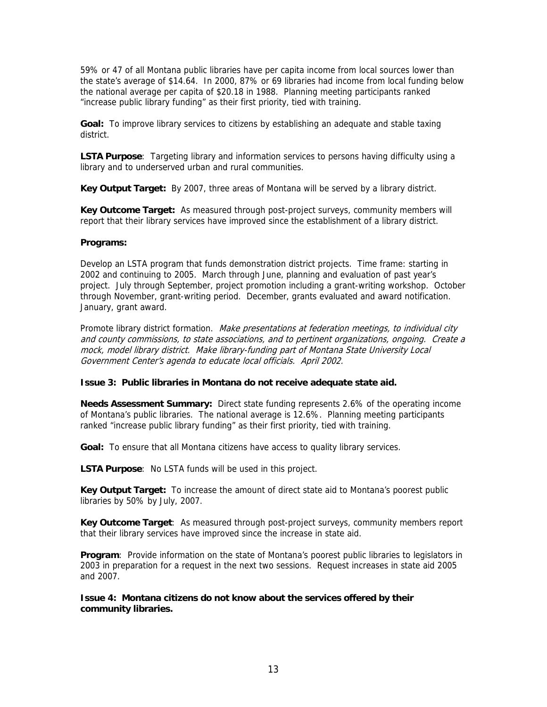59% or 47 of all Montana public libraries have per capita income from local sources lower than the state's average of \$14.64. In 2000, 87% or 69 libraries had income from local funding below the national average per capita of \$20.18 in 1988. Planning meeting participants ranked "increase public library funding" as their first priority, tied with training.

**Goal:** To improve library services to citizens by establishing an adequate and stable taxing district.

**LSTA Purpose**: Targeting library and information services to persons having difficulty using a library and to underserved urban and rural communities.

**Key Output Target:** By 2007, three areas of Montana will be served by a library district.

**Key Outcome Target:** As measured through post-project surveys, community members will report that their library services have improved since the establishment of a library district.

## **Programs:**

Develop an LSTA program that funds demonstration district projects. Time frame: starting in 2002 and continuing to 2005. March through June, planning and evaluation of past year's project. July through September, project promotion including a grant-writing workshop. October through November, grant-writing period. December, grants evaluated and award notification. January, grant award.

Promote library district formation. Make presentations at federation meetings, to individual city and county commissions, to state associations, and to pertinent organizations, ongoing. Create a mock, model library district. Make library-funding part of Montana State University Local Government Center's agenda to educate local officials. April 2002.

#### **Issue 3: Public libraries in Montana do not receive adequate state aid.**

**Needs Assessment Summary:** Direct state funding represents 2.6% of the operating income of Montana's public libraries. The national average is 12.6%. Planning meeting participants ranked "increase public library funding" as their first priority, tied with training.

**Goal:** To ensure that all Montana citizens have access to quality library services.

**LSTA Purpose**: No LSTA funds will be used in this project.

**Key Output Target:** To increase the amount of direct state aid to Montana's poorest public libraries by 50% by July, 2007.

**Key Outcome Target**: As measured through post-project surveys, community members report that their library services have improved since the increase in state aid.

**Program**: Provide information on the state of Montana's poorest public libraries to legislators in 2003 in preparation for a request in the next two sessions. Request increases in state aid 2005 and 2007.

**Issue 4: Montana citizens do not know about the services offered by their community libraries.**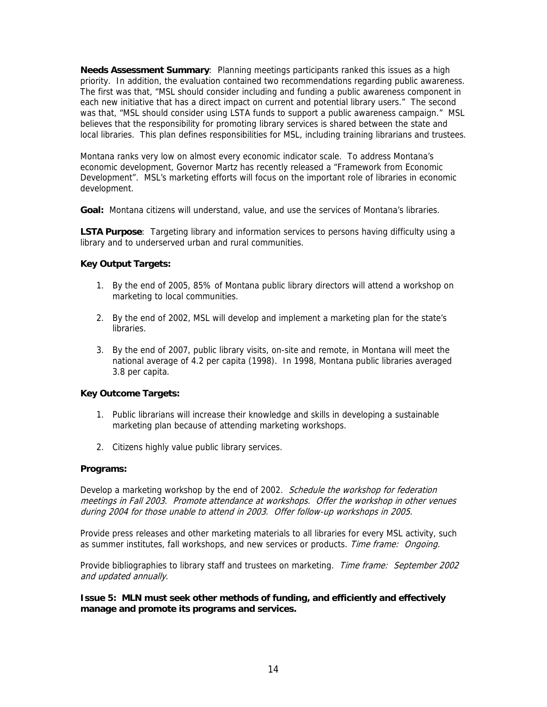**Needs Assessment Summary**: Planning meetings participants ranked this issues as a high priority. In addition, the evaluation contained two recommendations regarding public awareness. The first was that, "MSL should consider including and funding a public awareness component in each new initiative that has a direct impact on current and potential library users." The second was that, "MSL should consider using LSTA funds to support a public awareness campaign." MSL believes that the responsibility for promoting library services is shared between the state and local libraries. This plan defines responsibilities for MSL, including training librarians and trustees.

Montana ranks very low on almost every economic indicator scale. To address Montana's economic development, Governor Martz has recently released a "Framework from Economic Development". MSL's marketing efforts will focus on the important role of libraries in economic development.

**Goal:** Montana citizens will understand, value, and use the services of Montana's libraries.

**LSTA Purpose**: Targeting library and information services to persons having difficulty using a library and to underserved urban and rural communities.

# **Key Output Targets:**

- 1. By the end of 2005, 85% of Montana public library directors will attend a workshop on marketing to local communities.
- 2. By the end of 2002, MSL will develop and implement a marketing plan for the state's libraries.
- 3. By the end of 2007, public library visits, on-site and remote, in Montana will meet the national average of 4.2 per capita (1998). In 1998, Montana public libraries averaged 3.8 per capita.

# **Key Outcome Targets:**

- 1. Public librarians will increase their knowledge and skills in developing a sustainable marketing plan because of attending marketing workshops.
- 2. Citizens highly value public library services.

# **Programs:**

Develop a marketing workshop by the end of 2002. Schedule the workshop for federation meetings in Fall 2003. Promote attendance at workshops. Offer the workshop in other venues during 2004 for those unable to attend in 2003. Offer follow-up workshops in 2005.

Provide press releases and other marketing materials to all libraries for every MSL activity, such as summer institutes, fall workshops, and new services or products. Time frame: Ongoing.

Provide bibliographies to library staff and trustees on marketing. Time frame: September 2002 and updated annually.

**Issue 5: MLN must seek other methods of funding, and efficiently and effectively manage and promote its programs and services.**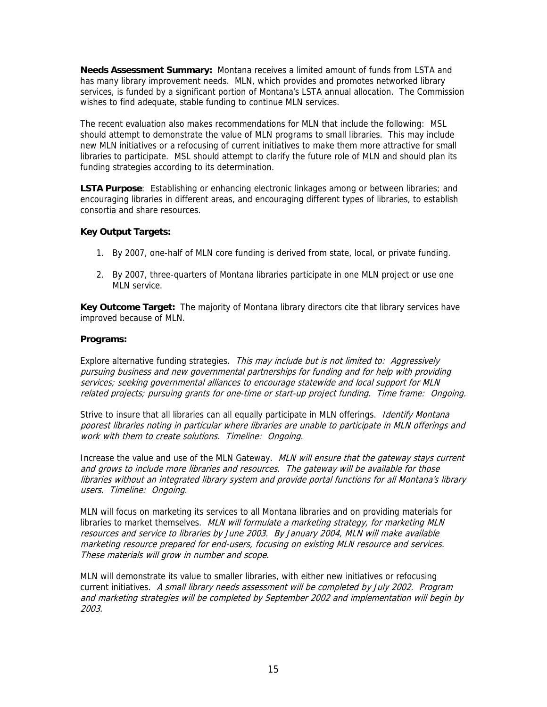**Needs Assessment Summary:** Montana receives a limited amount of funds from LSTA and has many library improvement needs. MLN, which provides and promotes networked library services, is funded by a significant portion of Montana's LSTA annual allocation. The Commission wishes to find adequate, stable funding to continue MLN services.

The recent evaluation also makes recommendations for MLN that include the following: MSL should attempt to demonstrate the value of MLN programs to small libraries. This may include new MLN initiatives or a refocusing of current initiatives to make them more attractive for small libraries to participate. MSL should attempt to clarify the future role of MLN and should plan its funding strategies according to its determination.

**LSTA Purpose**: Establishing or enhancing electronic linkages among or between libraries; and encouraging libraries in different areas, and encouraging different types of libraries, to establish consortia and share resources.

# **Key Output Targets:**

- 1. By 2007, one-half of MLN core funding is derived from state, local, or private funding.
- 2. By 2007, three-quarters of Montana libraries participate in one MLN project or use one MLN service.

**Key Outcome Target:** The majority of Montana library directors cite that library services have improved because of MLN.

# **Programs:**

Explore alternative funding strategies. This may include but is not limited to: Aggressively pursuing business and new governmental partnerships for funding and for help with providing services; seeking governmental alliances to encourage statewide and local support for MLN related projects; pursuing grants for one-time or start-up project funding. Time frame: Ongoing.

Strive to insure that all libraries can all equally participate in MLN offerings. *Identify Montana* poorest libraries noting in particular where libraries are unable to participate in MLN offerings and work with them to create solutions. Timeline: Ongoing.

Increase the value and use of the MLN Gateway. MLN will ensure that the gateway stays current and grows to include more libraries and resources. The gateway will be available for those libraries without an integrated library system and provide portal functions for all Montana's library users. Timeline: Ongoing.

MLN will focus on marketing its services to all Montana libraries and on providing materials for libraries to market themselves. MLN will formulate a marketing strategy, for marketing MLN resources and service to libraries by June 2003. By January 2004, MLN will make available marketing resource prepared for end-users, focusing on existing MLN resource and services. These materials will grow in number and scope.

MLN will demonstrate its value to smaller libraries, with either new initiatives or refocusing current initiatives. A small library needs assessment will be completed by July 2002. Program and marketing strategies will be completed by September 2002 and implementation will begin by 2003.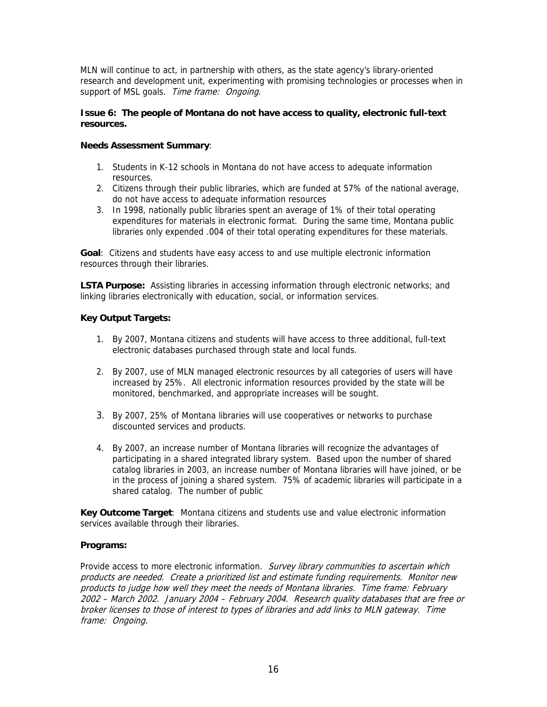MLN will continue to act, in partnership with others, as the state agency's library-oriented research and development unit, experimenting with promising technologies or processes when in support of MSL goals. Time frame: Ongoing.

## **Issue 6: The people of Montana do not have access to quality, electronic full-text resources.**

# **Needs Assessment Summary**:

- 1. Students in K-12 schools in Montana do not have access to adequate information resources.
- 2. Citizens through their public libraries, which are funded at 57% of the national average, do not have access to adequate information resources
- 3. In 1998, nationally public libraries spent an average of 1% of their total operating expenditures for materials in electronic format. During the same time, Montana public libraries only expended .004 of their total operating expenditures for these materials.

**Goal**: Citizens and students have easy access to and use multiple electronic information resources through their libraries.

**LSTA Purpose:** Assisting libraries in accessing information through electronic networks; and linking libraries electronically with education, social, or information services.

# **Key Output Targets:**

- 1. By 2007, Montana citizens and students will have access to three additional, full-text electronic databases purchased through state and local funds.
- 2. By 2007, use of MLN managed electronic resources by all categories of users will have increased by 25%. All electronic information resources provided by the state will be monitored, benchmarked, and appropriate increases will be sought.
- 3. By 2007, 25% of Montana libraries will use cooperatives or networks to purchase discounted services and products.
- 4. By 2007, an increase number of Montana libraries will recognize the advantages of participating in a shared integrated library system. Based upon the number of shared catalog libraries in 2003, an increase number of Montana libraries will have joined, or be in the process of joining a shared system. 75% of academic libraries will participate in a shared catalog. The number of public

**Key Outcome Target**: Montana citizens and students use and value electronic information services available through their libraries.

# **Programs:**

Provide access to more electronic information. Survey library communities to ascertain which products are needed. Create a prioritized list and estimate funding requirements. Monitor new products to judge how well they meet the needs of Montana libraries. Time frame: February 2002 – March 2002. January 2004 – February 2004. Research quality databases that are free or broker licenses to those of interest to types of libraries and add links to MLN gateway. Time frame: Ongoing.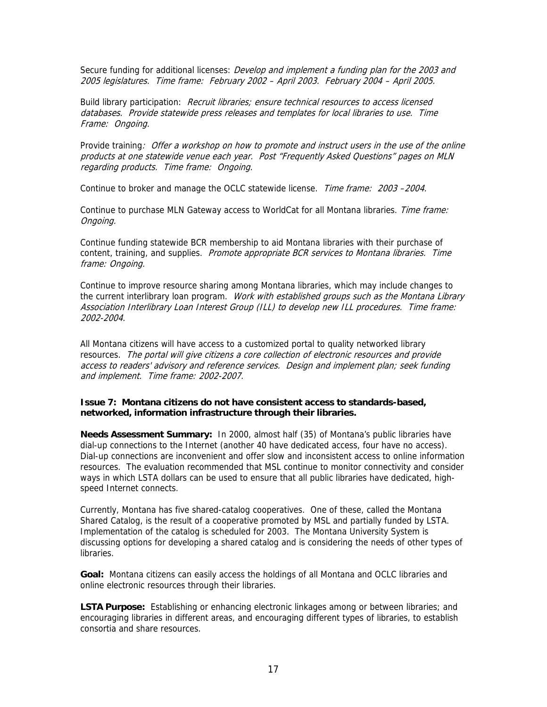Secure funding for additional licenses: *Develop and implement a funding plan for the 2003 and* 2005 legislatures. Time frame: February 2002 – April 2003. February 2004 – April 2005.

Build library participation: Recruit libraries; ensure technical resources to access licensed databases. Provide statewide press releases and templates for local libraries to use. Time Frame: Ongoing.

Provide training: Offer a workshop on how to promote and instruct users in the use of the online products at one statewide venue each year. Post "Frequently Asked Questions" pages on MLN regarding products. Time frame: Ongoing.

Continue to broker and manage the OCLC statewide license. Time frame: 2003 -2004.

Continue to purchase MLN Gateway access to WorldCat for all Montana libraries. Time frame: Ongoing.

Continue funding statewide BCR membership to aid Montana libraries with their purchase of content, training, and supplies. Promote appropriate BCR services to Montana libraries. Time frame: Ongoing.

Continue to improve resource sharing among Montana libraries, which may include changes to the current interlibrary loan program. Work with established groups such as the Montana Library Association Interlibrary Loan Interest Group (ILL) to develop new ILL procedures. Time frame: 2002-2004.

All Montana citizens will have access to a customized portal to quality networked library resources. The portal will give citizens a core collection of electronic resources and provide access to readers' advisory and reference services. Design and implement plan; seek funding and implement. Time frame: 2002-2007.

## **Issue 7: Montana citizens do not have consistent access to standards-based, networked, information infrastructure through their libraries.**

**Needs Assessment Summary:** In 2000, almost half (35) of Montana's public libraries have dial-up connections to the Internet (another 40 have dedicated access, four have no access). Dial-up connections are inconvenient and offer slow and inconsistent access to online information resources. The evaluation recommended that MSL continue to monitor connectivity and consider ways in which LSTA dollars can be used to ensure that all public libraries have dedicated, highspeed Internet connects.

Currently, Montana has five shared-catalog cooperatives. One of these, called the Montana Shared Catalog, is the result of a cooperative promoted by MSL and partially funded by LSTA. Implementation of the catalog is scheduled for 2003. The Montana University System is discussing options for developing a shared catalog and is considering the needs of other types of libraries.

**Goal:** Montana citizens can easily access the holdings of all Montana and OCLC libraries and online electronic resources through their libraries.

**LSTA Purpose:** Establishing or enhancing electronic linkages among or between libraries; and encouraging libraries in different areas, and encouraging different types of libraries, to establish consortia and share resources.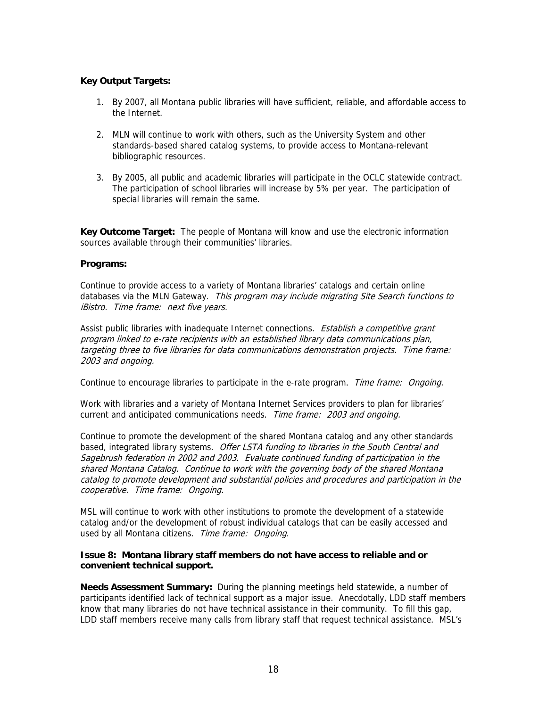# **Key Output Targets:**

- 1. By 2007, all Montana public libraries will have sufficient, reliable, and affordable access to the Internet.
- 2. MLN will continue to work with others, such as the University System and other standards-based shared catalog systems, to provide access to Montana-relevant bibliographic resources.
- 3. By 2005, all public and academic libraries will participate in the OCLC statewide contract. The participation of school libraries will increase by 5% per year. The participation of special libraries will remain the same.

**Key Outcome Target:** The people of Montana will know and use the electronic information sources available through their communities' libraries.

#### **Programs:**

Continue to provide access to a variety of Montana libraries' catalogs and certain online databases via the MLN Gateway. This program may include migrating Site Search functions to iBistro. Time frame: next five years.

Assist public libraries with inadequate Internet connections. Establish a competitive grant program linked to e-rate recipients with an established library data communications plan, targeting three to five libraries for data communications demonstration projects. Time frame: 2003 and ongoing.

Continue to encourage libraries to participate in the e-rate program.Time frame: Ongoing.

Work with libraries and a variety of Montana Internet Services providers to plan for libraries' current and anticipated communications needs. Time frame: 2003 and ongoing.

Continue to promote the development of the shared Montana catalog and any other standards based, integrated library systems. Offer LSTA funding to libraries in the South Central and Sagebrush federation in 2002 and 2003. Evaluate continued funding of participation in the shared Montana Catalog. Continue to work with the governing body of the shared Montana catalog to promote development and substantial policies and procedures and participation in the cooperative. Time frame: Ongoing.

MSL will continue to work with other institutions to promote the development of a statewide catalog and/or the development of robust individual catalogs that can be easily accessed and used by all Montana citizens. Time frame: Ongoing.

#### **Issue 8: Montana library staff members do not have access to reliable and or convenient technical support.**

**Needs Assessment Summary:** During the planning meetings held statewide, a number of participants identified lack of technical support as a major issue. Anecdotally, LDD staff members know that many libraries do not have technical assistance in their community. To fill this gap, LDD staff members receive many calls from library staff that request technical assistance. MSL's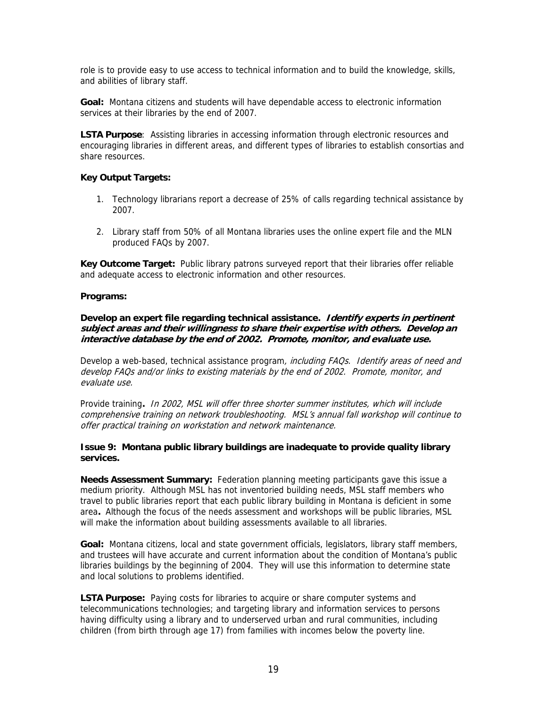role is to provide easy to use access to technical information and to build the knowledge, skills, and abilities of library staff.

**Goal:** Montana citizens and students will have dependable access to electronic information services at their libraries by the end of 2007.

**LSTA Purpose**: Assisting libraries in accessing information through electronic resources and encouraging libraries in different areas, and different types of libraries to establish consortias and share resources.

## **Key Output Targets:**

- 1. Technology librarians report a decrease of 25% of calls regarding technical assistance by 2007.
- 2. Library staff from 50% of all Montana libraries uses the online expert file and the MLN produced FAQs by 2007.

**Key Outcome Target:** Public library patrons surveyed report that their libraries offer reliable and adequate access to electronic information and other resources.

#### **Programs:**

# **Develop an expert file regarding technical assistance. Identify experts in pertinent subject areas and their willingness to share their expertise with others. Develop an interactive database by the end of 2002. Promote, monitor, and evaluate use.**

Develop a web-based, technical assistance program, *including FAQs. Identify areas of need and* develop FAQs and/or links to existing materials by the end of 2002. Promote, monitor, and evaluate use.

Provide training**.** In 2002, MSL will offer three shorter summer institutes, which will include comprehensive training on network troubleshooting. MSL's annual fall workshop will continue to offer practical training on workstation and network maintenance.

## **Issue 9: Montana public library buildings are inadequate to provide quality library services.**

**Needs Assessment Summary:** Federation planning meeting participants gave this issue a medium priority. Although MSL has not inventoried building needs, MSL staff members who travel to public libraries report that each public library building in Montana is deficient in some area**.** Although the focus of the needs assessment and workshops will be public libraries, MSL will make the information about building assessments available to all libraries.

**Goal:** Montana citizens, local and state government officials, legislators, library staff members, and trustees will have accurate and current information about the condition of Montana's public libraries buildings by the beginning of 2004. They will use this information to determine state and local solutions to problems identified.

**LSTA Purpose:** Paying costs for libraries to acquire or share computer systems and telecommunications technologies; and targeting library and information services to persons having difficulty using a library and to underserved urban and rural communities, including children (from birth through age 17) from families with incomes below the poverty line.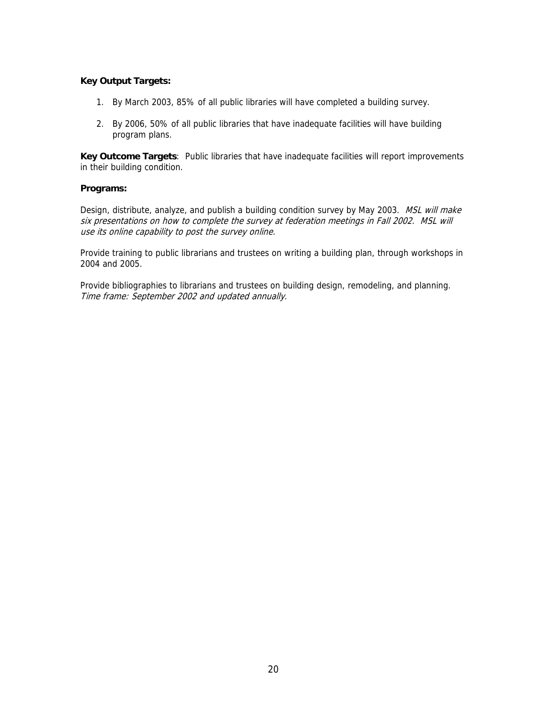## **Key Output Targets:**

- 1. By March 2003, 85% of all public libraries will have completed a building survey.
- 2. By 2006, 50% of all public libraries that have inadequate facilities will have building program plans.

**Key Outcome Targets**: Public libraries that have inadequate facilities will report improvements in their building condition.

## **Programs:**

Design, distribute, analyze, and publish a building condition survey by May 2003. MSL will make six presentations on how to complete the survey at federation meetings in Fall 2002. MSL will use its online capability to post the survey online.

Provide training to public librarians and trustees on writing a building plan, through workshops in 2004 and 2005.

Provide bibliographies to librarians and trustees on building design, remodeling, and planning. Time frame: September 2002 and updated annually.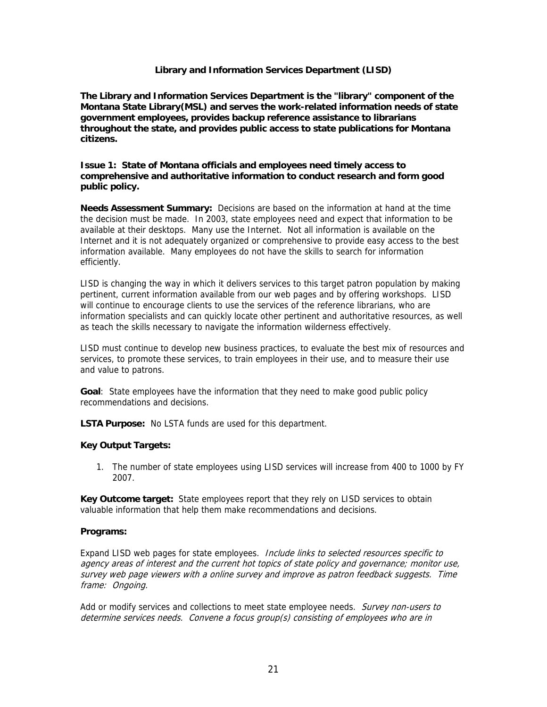## **Library and Information Services Department (LISD)**

**The Library and Information Services Department is the "library" component of the Montana State Library(MSL) and serves the work-related information needs of state government employees, provides backup reference assistance to librarians throughout the state, and provides public access to state publications for Montana citizens.** 

## **Issue 1: State of Montana officials and employees need timely access to comprehensive and authoritative information to conduct research and form good public policy.**

**Needs Assessment Summary:** Decisions are based on the information at hand at the time the decision must be made. In 2003, state employees need and expect that information to be available at their desktops. Many use the Internet. Not all information is available on the Internet and it is not adequately organized or comprehensive to provide easy access to the best information available. Many employees do not have the skills to search for information efficiently.

LISD is changing the way in which it delivers services to this target patron population by making pertinent, current information available from our web pages and by offering workshops. LISD will continue to encourage clients to use the services of the reference librarians, who are information specialists and can quickly locate other pertinent and authoritative resources, as well as teach the skills necessary to navigate the information wilderness effectively.

LISD must continue to develop new business practices, to evaluate the best mix of resources and services, to promote these services, to train employees in their use, and to measure their use and value to patrons.

**Goal**: State employees have the information that they need to make good public policy recommendations and decisions.

**LSTA Purpose:** No LSTA funds are used for this department.

# **Key Output Targets:**

1. The number of state employees using LISD services will increase from 400 to 1000 by FY 2007.

**Key Outcome target:** State employees report that they rely on LISD services to obtain valuable information that help them make recommendations and decisions.

#### **Programs:**

Expand LISD web pages for state employees. Include links to selected resources specific to agency areas of interest and the current hot topics of state policy and governance; monitor use, survey web page viewers with a online survey and improve as patron feedback suggests. Time frame: Ongoing.

Add or modify services and collections to meet state employee needs. Survey non-users to determine services needs. Convene a focus group(s) consisting of employees who are in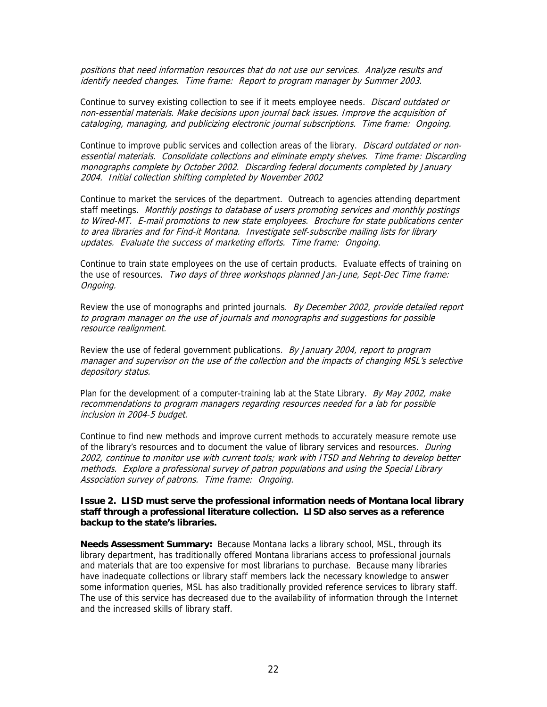positions that need information resources that do not use our services. Analyze results and identify needed changes. Time frame: Report to program manager by Summer 2003.

Continue to survey existing collection to see if it meets employee needs. Discard outdated or non-essential materials. Make decisions upon journal back issues. Improve the acquisition of cataloging, managing, and publicizing electronic journal subscriptions. Time frame: Ongoing.

Continue to improve public services and collection areas of the library. Discard outdated or nonessential materials. Consolidate collections and eliminate empty shelves. Time frame: Discarding monographs complete by October 2002. Discarding federal documents completed by January 2004. Initial collection shifting completed by November 2002

Continue to market the services of the department. Outreach to agencies attending department staff meetings. Monthly postings to database of users promoting services and monthly postings to Wired-MT. E-mail promotions to new state employees. Brochure for state publications center to area libraries and for Find-it Montana. Investigate self-subscribe mailing lists for library updates. Evaluate the success of marketing efforts. Time frame: Ongoing.

Continue to train state employees on the use of certain products. Evaluate effects of training on the use of resources. Two days of three workshops planned Jan-June, Sept-Dec Time frame: Ongoing.

Review the use of monographs and printed journals. By December 2002, provide detailed report to program manager on the use of journals and monographs and suggestions for possible resource realignment.

Review the use of federal government publications. By January 2004, report to program manager and supervisor on the use of the collection and the impacts of changing MSL's selective depository status.

Plan for the development of a computer-training lab at the State Library. By May 2002, make recommendations to program managers regarding resources needed for a lab for possible inclusion in 2004-5 budget.

Continue to find new methods and improve current methods to accurately measure remote use of the library's resources and to document the value of library services and resources. During 2002, continue to monitor use with current tools; work with ITSD and Nehring to develop better methods. Explore a professional survey of patron populations and using the Special Library Association survey of patrons. Time frame: Ongoing.

### **Issue 2. LISD must serve the professional information needs of Montana local library staff through a professional literature collection. LISD also serves as a reference backup to the state's libraries.**

**Needs Assessment Summary:** Because Montana lacks a library school, MSL, through its library department, has traditionally offered Montana librarians access to professional journals and materials that are too expensive for most librarians to purchase. Because many libraries have inadequate collections or library staff members lack the necessary knowledge to answer some information queries, MSL has also traditionally provided reference services to library staff. The use of this service has decreased due to the availability of information through the Internet and the increased skills of library staff.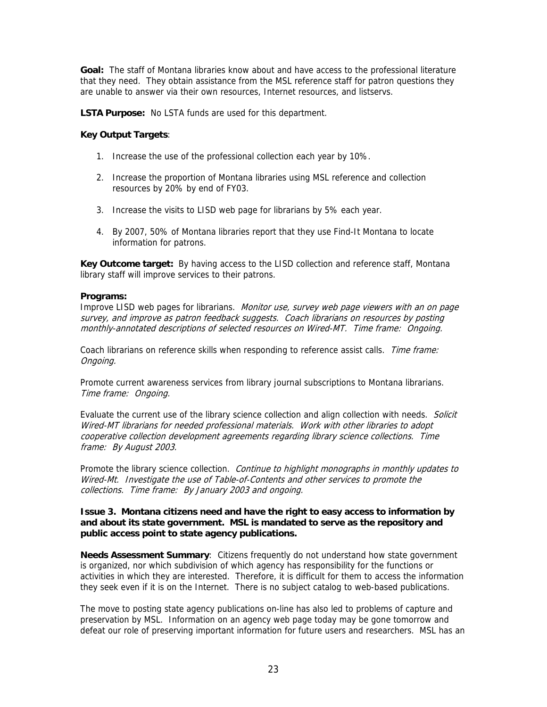**Goal:** The staff of Montana libraries know about and have access to the professional literature that they need. They obtain assistance from the MSL reference staff for patron questions they are unable to answer via their own resources, Internet resources, and listservs.

**LSTA Purpose:** No LSTA funds are used for this department.

# **Key Output Targets**:

- 1. Increase the use of the professional collection each year by 10%.
- 2. Increase the proportion of Montana libraries using MSL reference and collection resources by 20% by end of FY03.
- 3. Increase the visits to LISD web page for librarians by 5% each year.
- 4. By 2007, 50% of Montana libraries report that they use Find-It Montana to locate information for patrons.

**Key Outcome target:** By having access to the LISD collection and reference staff, Montana library staff will improve services to their patrons.

## **Programs:**

Improve LISD web pages for librarians. Monitor use, survey web page viewers with an on page survey, and improve as patron feedback suggests. Coach librarians on resources by posting monthly-annotated descriptions of selected resources on Wired-MT. Time frame: Ongoing.

Coach librarians on reference skills when responding to reference assist calls. Time frame: Ongoing.

Promote current awareness services from library journal subscriptions to Montana librarians. Time frame: Ongoing.

Evaluate the current use of the library science collection and align collection with needs. Solicit Wired-MT librarians for needed professional materials. Work with other libraries to adopt cooperative collection development agreements regarding library science collections. Time frame: By August 2003.

Promote the library science collection.Continue to highlight monographs in monthly updates to Wired-Mt. Investigate the use of Table-of-Contents and other services to promote the collections. Time frame: By January 2003 and ongoing.

### **Issue 3. Montana citizens need and have the right to easy access to information by and about its state government. MSL is mandated to serve as the repository and public access point to state agency publications.**

**Needs Assessment Summary**: Citizens frequently do not understand how state government is organized, nor which subdivision of which agency has responsibility for the functions or activities in which they are interested. Therefore, it is difficult for them to access the information they seek even if it is on the Internet. There is no subject catalog to web-based publications.

The move to posting state agency publications on-line has also led to problems of capture and preservation by MSL. Information on an agency web page today may be gone tomorrow and defeat our role of preserving important information for future users and researchers. MSL has an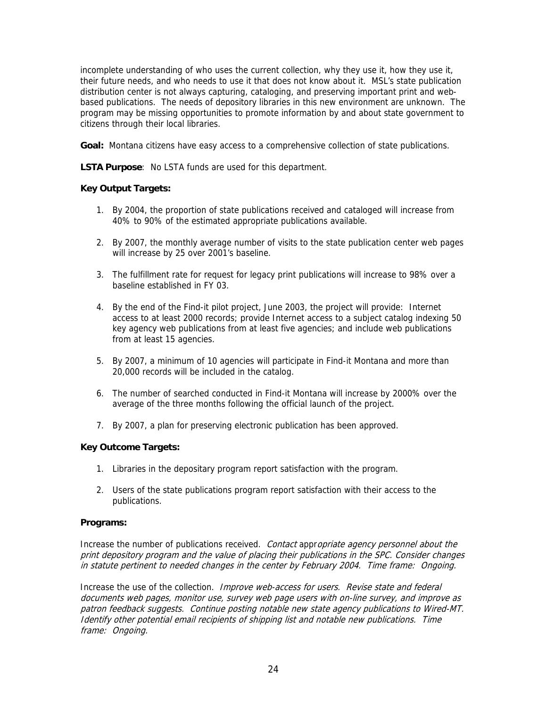incomplete understanding of who uses the current collection, why they use it, how they use it, their future needs, and who needs to use it that does not know about it. MSL's state publication distribution center is not always capturing, cataloging, and preserving important print and webbased publications. The needs of depository libraries in this new environment are unknown. The program may be missing opportunities to promote information by and about state government to citizens through their local libraries.

**Goal:** Montana citizens have easy access to a comprehensive collection of state publications.

**LSTA Purpose**: No LSTA funds are used for this department.

# **Key Output Targets:**

- 1. By 2004, the proportion of state publications received and cataloged will increase from 40% to 90% of the estimated appropriate publications available.
- 2. By 2007, the monthly average number of visits to the state publication center web pages will increase by 25 over 2001's baseline.
- 3. The fulfillment rate for request for legacy print publications will increase to 98% over a baseline established in FY 03.
- 4. By the end of the Find-it pilot project, June 2003, the project will provide: Internet access to at least 2000 records; provide Internet access to a subject catalog indexing 50 key agency web publications from at least five agencies; and include web publications from at least 15 agencies.
- 5. By 2007, a minimum of 10 agencies will participate in Find-it Montana and more than 20,000 records will be included in the catalog.
- 6. The number of searched conducted in Find-it Montana will increase by 2000% over the average of the three months following the official launch of the project.
- 7. By 2007, a plan for preserving electronic publication has been approved.

#### **Key Outcome Targets:**

- 1. Libraries in the depositary program report satisfaction with the program.
- 2. Users of the state publications program report satisfaction with their access to the publications.

#### **Programs:**

Increase the number of publications received. Contact appropriate agency personnel about the print depository program and the value of placing their publications in the SPC. Consider changes in statute pertinent to needed changes in the center by February 2004. Time frame: Ongoing.

Increase the use of the collection.Improve web-access for users. Revise state and federal documents web pages, monitor use, survey web page users with on-line survey, and improve as patron feedback suggests. Continue posting notable new state agency publications to Wired-MT. Identify other potential email recipients of shipping list and notable new publications. Time frame: Ongoing.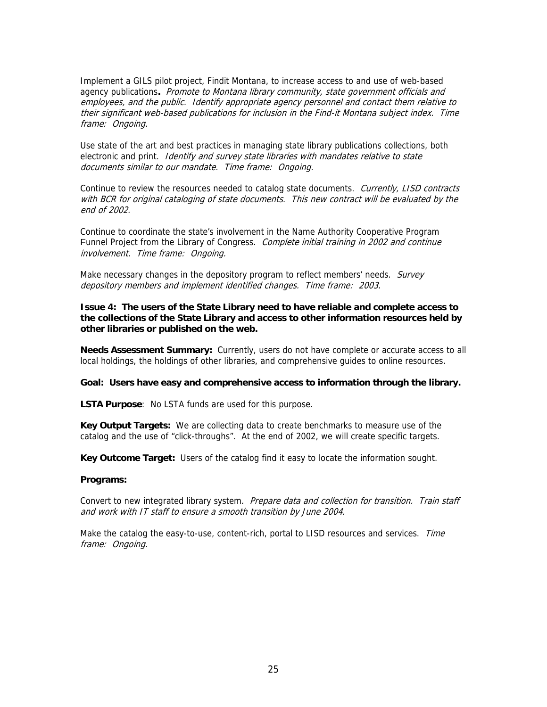Implement a GILS pilot project, Findit Montana, to increase access to and use of web-based agency publications**.** Promote to Montana library community, state government officials and employees, and the public. Identify appropriate agency personnel and contact them relative to their significant web-based publications for inclusion in the Find-it Montana subject index. Time frame: Ongoing.

Use state of the art and best practices in managing state library publications collections, both electronic and print. Identify and survey state libraries with mandates relative to state documents similar to our mandate. Time frame: Ongoing.

Continue to review the resources needed to catalog state documents. Currently, LISD contracts with BCR for original cataloging of state documents. This new contract will be evaluated by the end of 2002.

Continue to coordinate the state's involvement in the Name Authority Cooperative Program Funnel Project from the Library of Congress. Complete initial training in 2002 and continue involvement. Time frame: Ongoing.

Make necessary changes in the depository program to reflect members' needs. Survey depository members and implement identified changes. Time frame: 2003.

**Issue 4: The users of the State Library need to have reliable and complete access to the collections of the State Library and access to other information resources held by other libraries or published on the web.** 

**Needs Assessment Summary:** Currently, users do not have complete or accurate access to all local holdings, the holdings of other libraries, and comprehensive guides to online resources.

#### **Goal: Users have easy and comprehensive access to information through the library.**

**LSTA Purpose**: No LSTA funds are used for this purpose.

**Key Output Targets:** We are collecting data to create benchmarks to measure use of the catalog and the use of "click-throughs". At the end of 2002, we will create specific targets.

**Key Outcome Target:** Users of the catalog find it easy to locate the information sought.

#### **Programs:**

Convert to new integrated library system. Prepare data and collection for transition. Train staff and work with IT staff to ensure a smooth transition by June 2004.

Make the catalog the easy-to-use, content-rich, portal to LISD resources and services. Time frame: Ongoing.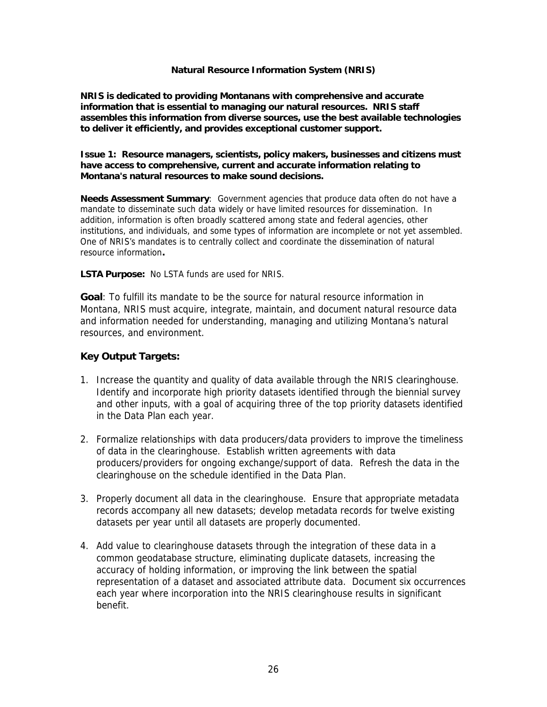## **Natural Resource Information System (NRIS)**

**NRIS is dedicated to providing Montanans with comprehensive and accurate information that is essential to managing our natural resources. NRIS staff assembles this information from diverse sources, use the best available technologies to deliver it efficiently, and provides exceptional customer support.** 

**Issue 1: Resource managers, scientists, policy makers, businesses and citizens must have access to comprehensive, current and accurate information relating to Montana's natural resources to make sound decisions.** 

**Needs Assessment Summary**: Government agencies that produce data often do not have a mandate to disseminate such data widely or have limited resources for dissemination. In addition, information is often broadly scattered among state and federal agencies, other institutions, and individuals, and some types of information are incomplete or not yet assembled. One of NRIS's mandates is to centrally collect and coordinate the dissemination of natural resource information**.**

**LSTA Purpose:** No LSTA funds are used for NRIS.

**Goal**: To fulfill its mandate to be the source for natural resource information in Montana, NRIS must acquire, integrate, maintain, and document natural resource data and information needed for understanding, managing and utilizing Montana's natural resources, and environment.

# **Key Output Targets:**

- 1. Increase the quantity and quality of data available through the NRIS clearinghouse. Identify and incorporate high priority datasets identified through the biennial survey and other inputs, with a goal of acquiring three of the top priority datasets identified in the Data Plan each year.
- 2. Formalize relationships with data producers/data providers to improve the timeliness of data in the clearinghouse. Establish written agreements with data producers/providers for ongoing exchange/support of data. Refresh the data in the clearinghouse on the schedule identified in the Data Plan.
- 3. Properly document all data in the clearinghouse. Ensure that appropriate metadata records accompany all new datasets; develop metadata records for twelve existing datasets per year until all datasets are properly documented.
- 4. Add value to clearinghouse datasets through the integration of these data in a common geodatabase structure, eliminating duplicate datasets, increasing the accuracy of holding information, or improving the link between the spatial representation of a dataset and associated attribute data. Document six occurrences each year where incorporation into the NRIS clearinghouse results in significant benefit.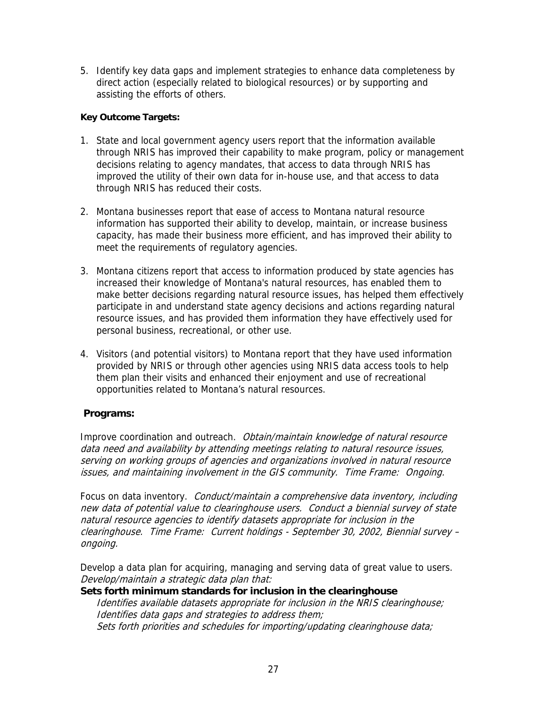5. Identify key data gaps and implement strategies to enhance data completeness by direct action (especially related to biological resources) or by supporting and assisting the efforts of others.

# **Key Outcome Targets:**

- 1. State and local government agency users report that the information available through NRIS has improved their capability to make program, policy or management decisions relating to agency mandates, that access to data through NRIS has improved the utility of their own data for in-house use, and that access to data through NRIS has reduced their costs.
- 2. Montana businesses report that ease of access to Montana natural resource information has supported their ability to develop, maintain, or increase business capacity, has made their business more efficient, and has improved their ability to meet the requirements of regulatory agencies.
- 3. Montana citizens report that access to information produced by state agencies has increased their knowledge of Montana's natural resources, has enabled them to make better decisions regarding natural resource issues, has helped them effectively participate in and understand state agency decisions and actions regarding natural resource issues, and has provided them information they have effectively used for personal business, recreational, or other use.
- 4. Visitors (and potential visitors) to Montana report that they have used information provided by NRIS or through other agencies using NRIS data access tools to help them plan their visits and enhanced their enjoyment and use of recreational opportunities related to Montana's natural resources.

# **Programs:**

Improve coordination and outreach. Obtain/maintain knowledge of natural resource data need and availability by attending meetings relating to natural resource issues, serving on working groups of agencies and organizations involved in natural resource issues, and maintaining involvement in the GIS community. Time Frame: Ongoing.

Focus on data inventory. Conduct/maintain a comprehensive data inventory, including new data of potential value to clearinghouse users. Conduct a biennial survey of state natural resource agencies to identify datasets appropriate for inclusion in the clearinghouse. Time Frame: Current holdings - September 30, 2002, Biennial survey – ongoing.

Develop a data plan for acquiring, managing and serving data of great value to users. Develop/maintain a strategic data plan that:

# **Sets forth minimum standards for inclusion in the clearinghouse**

Identifies available datasets appropriate for inclusion in the NRIS clearinghouse; Identifies data gaps and strategies to address them; Sets forth priorities and schedules for importing/updating clearinghouse data;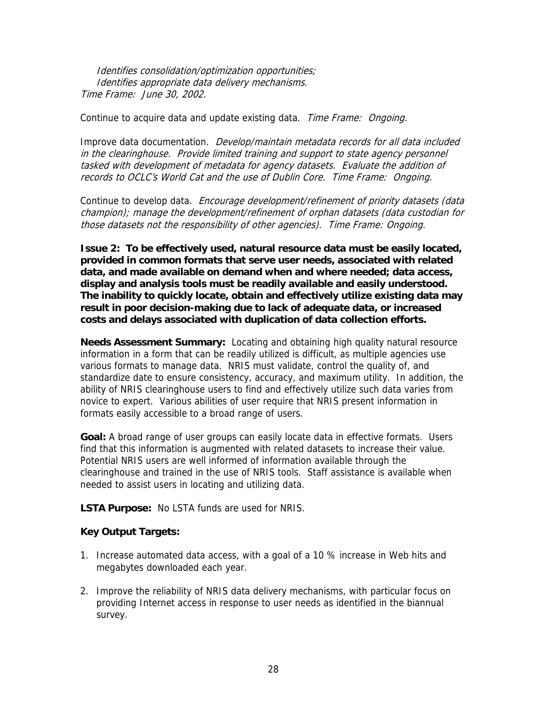Identifies consolidation/optimization opportunities; Identifies appropriate data delivery mechanisms. Time Frame: June 30, 2002.

Continue to acquire data and update existing data. Time Frame: Ongoing.

Improve data documentation. Develop/maintain metadata records for all data included in the clearinghouse. Provide limited training and support to state agency personnel tasked with development of metadata for agency datasets. Evaluate the addition of records to OCLC's World Cat and the use of Dublin Core. Time Frame: Ongoing.

Continue to develop data. Encourage development/refinement of priority datasets (data champion); manage the development/refinement of orphan datasets (data custodian for those datasets not the responsibility of other agencies). Time Frame: Ongoing.

**Issue 2: To be effectively used, natural resource data must be easily located, provided in common formats that serve user needs, associated with related data, and made available on demand when and where needed; data access, display and analysis tools must be readily available and easily understood. The inability to quickly locate, obtain and effectively utilize existing data may result in poor decision-making due to lack of adequate data, or increased costs and delays associated with duplication of data collection efforts.** 

**Needs Assessment Summary:** Locating and obtaining high quality natural resource information in a form that can be readily utilized is difficult, as multiple agencies use various formats to manage data. NRIS must validate, control the quality of, and standardize date to ensure consistency, accuracy, and maximum utility. In addition, the ability of NRIS clearinghouse users to find and effectively utilize such data varies from novice to expert. Various abilities of user require that NRIS present information in formats easily accessible to a broad range of users.

**Goal:** A broad range of user groups can easily locate data in effective formats. Users find that this information is augmented with related datasets to increase their value. Potential NRIS users are well informed of information available through the clearinghouse and trained in the use of NRIS tools. Staff assistance is available when needed to assist users in locating and utilizing data.

**LSTA Purpose:** No LSTA funds are used for NRIS.

# **Key Output Targets:**

- 1. Increase automated data access, with a goal of a 10 % increase in Web hits and megabytes downloaded each year.
- 2. Improve the reliability of NRIS data delivery mechanisms, with particular focus on providing Internet access in response to user needs as identified in the biannual survey.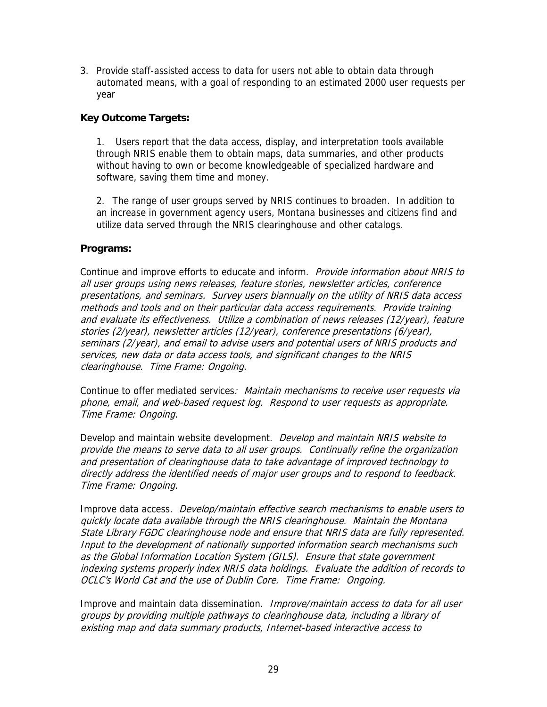3. Provide staff-assisted access to data for users not able to obtain data through automated means, with a goal of responding to an estimated 2000 user requests per year

# **Key Outcome Targets:**

1. Users report that the data access, display, and interpretation tools available through NRIS enable them to obtain maps, data summaries, and other products without having to own or become knowledgeable of specialized hardware and software, saving them time and money.

2. The range of user groups served by NRIS continues to broaden. In addition to an increase in government agency users, Montana businesses and citizens find and utilize data served through the NRIS clearinghouse and other catalogs.

# **Programs:**

Continue and improve efforts to educate and inform. Provide information about NRIS to all user groups using news releases, feature stories, newsletter articles, conference presentations, and seminars. Survey users biannually on the utility of NRIS data access methods and tools and on their particular data access requirements. Provide training and evaluate its effectiveness. Utilize a combination of news releases (12/year), feature stories (2/year), newsletter articles (12/year), conference presentations (6/year), seminars (2/year), and email to advise users and potential users of NRIS products and services, new data or data access tools, and significant changes to the NRIS clearinghouse. Time Frame: Ongoing.

Continue to offer mediated services: Maintain mechanisms to receive user requests via phone, email, and web-based request log. Respond to user requests as appropriate. Time Frame: Ongoing.

Develop and maintain website development. *Develop and maintain NRIS website to* provide the means to serve data to all user groups. Continually refine the organization and presentation of clearinghouse data to take advantage of improved technology to directly address the identified needs of major user groups and to respond to feedback. Time Frame: Ongoing.

Improve data access. Develop/maintain effective search mechanisms to enable users to quickly locate data available through the NRIS clearinghouse. Maintain the Montana State Library FGDC clearinghouse node and ensure that NRIS data are fully represented. Input to the development of nationally supported information search mechanisms such as the Global Information Location System (GILS). Ensure that state government indexing systems properly index NRIS data holdings. Evaluate the addition of records to OCLC's World Cat and the use of Dublin Core. Time Frame: Ongoing.

Improve and maintain data dissemination. Improve/maintain access to data for all user groups by providing multiple pathways to clearinghouse data, including a library of existing map and data summary products, Internet-based interactive access to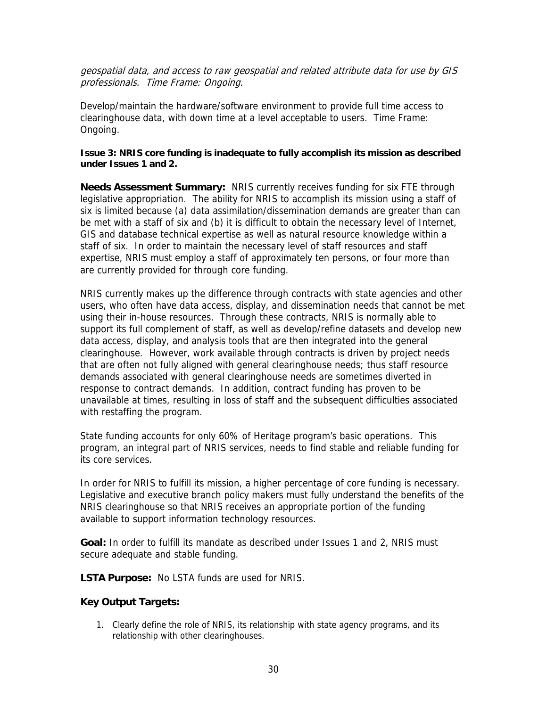geospatial data, and access to raw geospatial and related attribute data for use by GIS professionals. Time Frame: Ongoing.

Develop/maintain the hardware/software environment to provide full time access to clearinghouse data, with down time at a level acceptable to users. Time Frame: Ongoing.

# **Issue 3: NRIS core funding is inadequate to fully accomplish its mission as described under Issues 1 and 2.**

**Needs Assessment Summary:** NRIS currently receives funding for six FTE through legislative appropriation. The ability for NRIS to accomplish its mission using a staff of six is limited because (a) data assimilation/dissemination demands are greater than can be met with a staff of six and (b) it is difficult to obtain the necessary level of Internet, GIS and database technical expertise as well as natural resource knowledge within a staff of six. In order to maintain the necessary level of staff resources and staff expertise, NRIS must employ a staff of approximately ten persons, or four more than are currently provided for through core funding.

NRIS currently makes up the difference through contracts with state agencies and other users, who often have data access, display, and dissemination needs that cannot be met using their in-house resources. Through these contracts, NRIS is normally able to support its full complement of staff, as well as develop/refine datasets and develop new data access, display, and analysis tools that are then integrated into the general clearinghouse. However, work available through contracts is driven by project needs that are often not fully aligned with general clearinghouse needs; thus staff resource demands associated with general clearinghouse needs are sometimes diverted in response to contract demands. In addition, contract funding has proven to be unavailable at times, resulting in loss of staff and the subsequent difficulties associated with restaffing the program.

State funding accounts for only 60% of Heritage program's basic operations. This program, an integral part of NRIS services, needs to find stable and reliable funding for its core services.

In order for NRIS to fulfill its mission, a higher percentage of core funding is necessary. Legislative and executive branch policy makers must fully understand the benefits of the NRIS clearinghouse so that NRIS receives an appropriate portion of the funding available to support information technology resources.

**Goal:** In order to fulfill its mandate as described under Issues 1 and 2, NRIS must secure adequate and stable funding.

**LSTA Purpose:** No LSTA funds are used for NRIS.

# **Key Output Targets:**

1. Clearly define the role of NRIS, its relationship with state agency programs, and its relationship with other clearinghouses.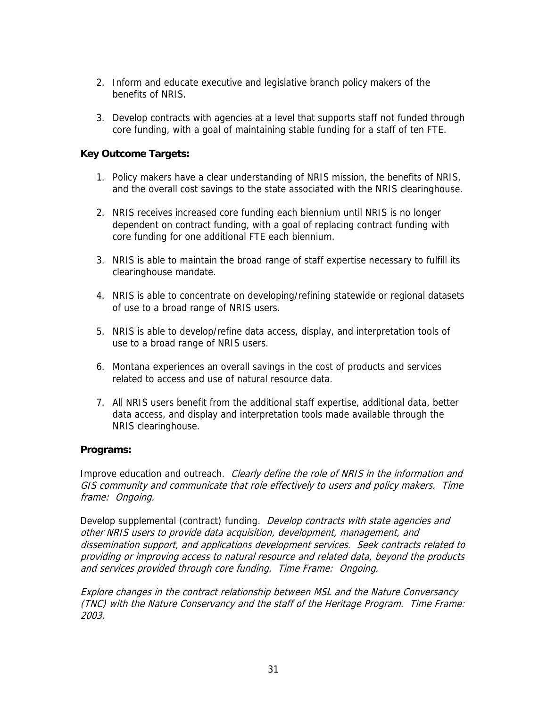- 2. Inform and educate executive and legislative branch policy makers of the benefits of NRIS.
- 3. Develop contracts with agencies at a level that supports staff not funded through core funding, with a goal of maintaining stable funding for a staff of ten FTE.

# **Key Outcome Targets:**

- 1. Policy makers have a clear understanding of NRIS mission, the benefits of NRIS, and the overall cost savings to the state associated with the NRIS clearinghouse.
- 2. NRIS receives increased core funding each biennium until NRIS is no longer dependent on contract funding, with a goal of replacing contract funding with core funding for one additional FTE each biennium.
- 3. NRIS is able to maintain the broad range of staff expertise necessary to fulfill its clearinghouse mandate.
- 4. NRIS is able to concentrate on developing/refining statewide or regional datasets of use to a broad range of NRIS users.
- 5. NRIS is able to develop/refine data access, display, and interpretation tools of use to a broad range of NRIS users.
- 6. Montana experiences an overall savings in the cost of products and services related to access and use of natural resource data.
- 7. All NRIS users benefit from the additional staff expertise, additional data, better data access, and display and interpretation tools made available through the NRIS clearinghouse.

# **Programs:**

Improve education and outreach. Clearly define the role of NRIS in the information and GIS community and communicate that role effectively to users and policy makers. Time frame: Ongoing.

Develop supplemental (contract) funding. *Develop contracts with state agencies and* other NRIS users to provide data acquisition, development, management, and dissemination support, and applications development services. Seek contracts related to providing or improving access to natural resource and related data, beyond the products and services provided through core funding. Time Frame: Ongoing.

Explore changes in the contract relationship between MSL and the Nature Conversancy (TNC) with the Nature Conservancy and the staff of the Heritage Program. Time Frame: 2003.